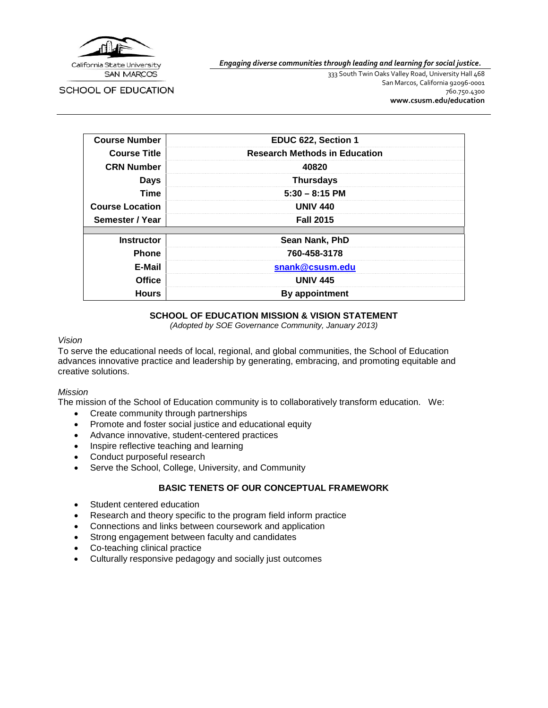

*Engaging diverse communities through leading and learning for social justice.*

SCHOOL OF EDUCATION

333 South Twin Oaks Valley Road, University Hall 468 San Marcos, California 92096-0001 760.750.4300 **[www.csusm.edu/education](http://www.csusm.edu/education)**

| <b>Course Number</b>   | EDUC 622, Section 1                  |  |
|------------------------|--------------------------------------|--|
| <b>Course Title</b>    | <b>Research Methods in Education</b> |  |
| <b>CRN Number</b>      | 40820                                |  |
| <b>Days</b>            | <b>Thursdays</b>                     |  |
| <b>Time</b>            | $5:30 - 8:15$ PM                     |  |
| <b>Course Location</b> | <b>UNIV 440</b>                      |  |
| Semester / Year        | <b>Fall 2015</b>                     |  |
|                        |                                      |  |
| <b>Instructor</b>      | Sean Nank, PhD                       |  |
| <b>Phone</b>           | 760-458-3178                         |  |
| E-Mail                 | snank@csusm.edu                      |  |
| <b>Office</b>          | <b>UNIV 445</b>                      |  |
| <b>Hours</b>           | By appointment                       |  |

#### **SCHOOL OF EDUCATION MISSION & VISION STATEMENT**

*(Adopted by SOE Governance Community, January 2013)*

#### *Vision*

To serve the educational needs of local, regional, and global communities, the School of Education advances innovative practice and leadership by generating, embracing, and promoting equitable and creative solutions.

#### *Mission*

The mission of the School of Education community is to collaboratively transform education. We:

- Create community through partnerships
- Promote and foster social justice and educational equity
- Advance innovative, student-centered practices
- Inspire reflective teaching and learning
- Conduct purposeful research
- Serve the School, College, University, and Community

#### **BASIC TENETS OF OUR CONCEPTUAL FRAMEWORK**

- Student centered education
- Research and theory specific to the program field inform practice
- Connections and links between coursework and application
- Strong engagement between faculty and candidates
- Co-teaching clinical practice
- Culturally responsive pedagogy and socially just outcomes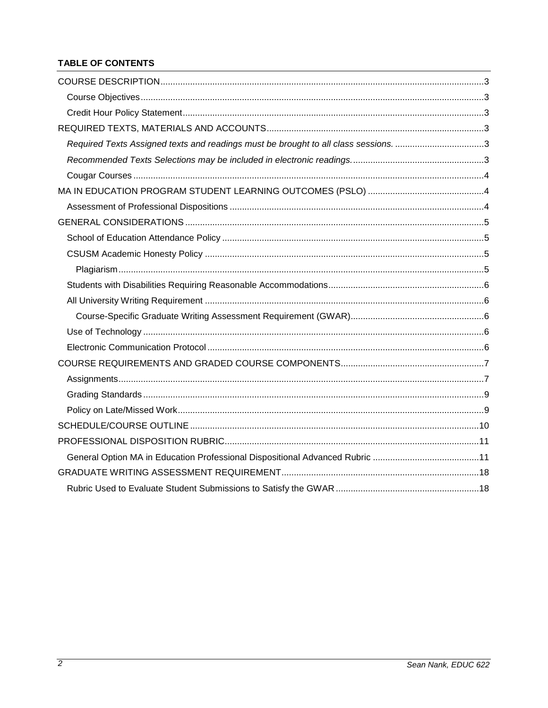# **TABLE OF CONTENTS**

| Required Texts Assigned texts and readings must be brought to all class sessions. 3 |  |
|-------------------------------------------------------------------------------------|--|
|                                                                                     |  |
|                                                                                     |  |
|                                                                                     |  |
|                                                                                     |  |
|                                                                                     |  |
|                                                                                     |  |
|                                                                                     |  |
|                                                                                     |  |
|                                                                                     |  |
|                                                                                     |  |
|                                                                                     |  |
|                                                                                     |  |
|                                                                                     |  |
|                                                                                     |  |
|                                                                                     |  |
|                                                                                     |  |
|                                                                                     |  |
|                                                                                     |  |
|                                                                                     |  |
|                                                                                     |  |
|                                                                                     |  |
|                                                                                     |  |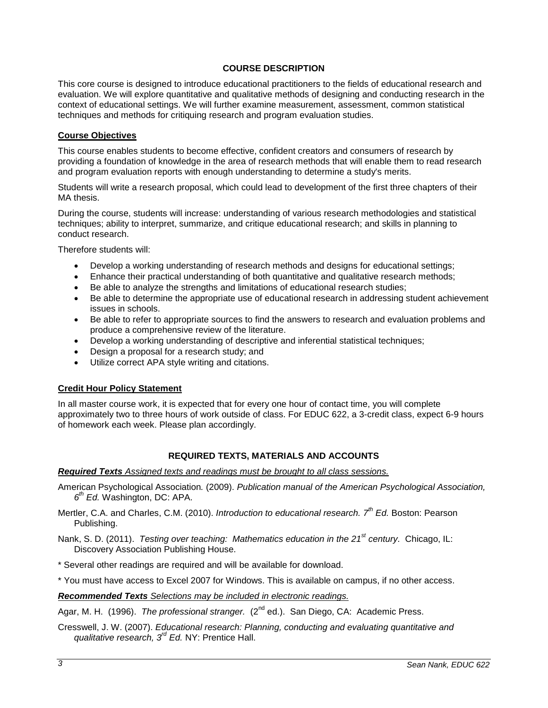### **COURSE DESCRIPTION**

<span id="page-2-0"></span>This core course is designed to introduce educational practitioners to the fields of educational research and evaluation. We will explore quantitative and qualitative methods of designing and conducting research in the context of educational settings. We will further examine measurement, assessment, common statistical techniques and methods for critiquing research and program evaluation studies.

#### <span id="page-2-1"></span>**Course Objectives**

This course enables students to become effective, confident creators and consumers of research by providing a foundation of knowledge in the area of research methods that will enable them to read research and program evaluation reports with enough understanding to determine a study's merits.

Students will write a research proposal, which could lead to development of the first three chapters of their MA thesis.

During the course, students will increase: understanding of various research methodologies and statistical techniques; ability to interpret, summarize, and critique educational research; and skills in planning to conduct research.

Therefore students will:

- Develop a working understanding of research methods and designs for educational settings;
- Enhance their practical understanding of both quantitative and qualitative research methods;
- Be able to analyze the strengths and limitations of educational research studies;
- Be able to determine the appropriate use of educational research in addressing student achievement issues in schools.
- Be able to refer to appropriate sources to find the answers to research and evaluation problems and produce a comprehensive review of the literature.
- Develop a working understanding of descriptive and inferential statistical techniques;
- Design a proposal for a research study; and
- Utilize correct APA style writing and citations.

### <span id="page-2-2"></span>**Credit Hour Policy Statement**

In all master course work, it is expected that for every one hour of contact time, you will complete approximately two to three hours of work outside of class. For EDUC 622, a 3-credit class, expect 6-9 hours of homework each week. Please plan accordingly.

### **REQUIRED TEXTS, MATERIALS AND ACCOUNTS**

#### <span id="page-2-4"></span><span id="page-2-3"></span>*Required Texts Assigned texts and readings must be brought to all class sessions.*

- American Psychological Association*.* (2009). *Publication manual of the American Psychological Association, 6th Ed.* Washington, DC: APA.
- Mertler, C.A. and Charles, C.M. (2010). *Introduction to educational research. 7th Ed.* Boston: Pearson Publishing.

Nank, S. D. (2011). *Testing over teaching: Mathematics education in the 21st century.* Chicago, IL: Discovery Association Publishing House.

\* Several other readings are required and will be available for download.

\* You must have access to Excel 2007 for Windows. This is available on campus, if no other access.

<span id="page-2-5"></span>*Recommended Texts Selections may be included in electronic readings.* 

Agar, M. H. (1996). *The professional stranger.* (2<sup>nd</sup> ed.). San Diego, CA: Academic Press.

Cresswell, J. W. (2007). *Educational research: Planning, conducting and evaluating quantitative and qualitative research, 3rd Ed.* NY: Prentice Hall.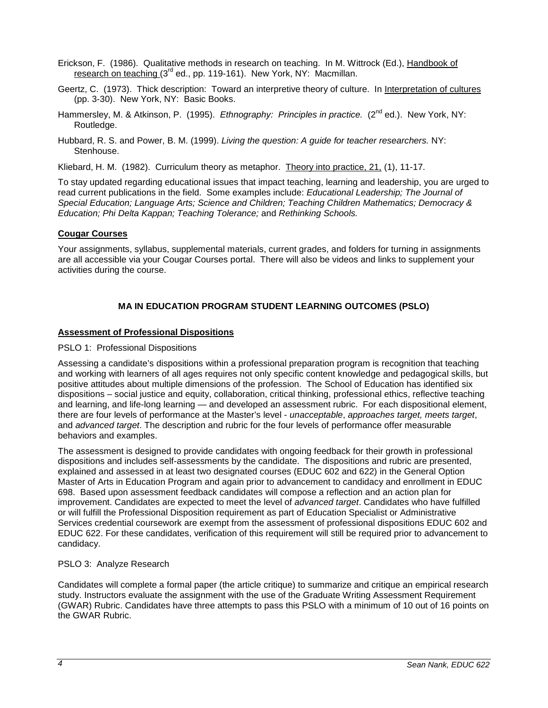- Erickson, F. (1986). Qualitative methods in research on teaching. In M. Wittrock (Ed.), Handbook of research on teaching (3<sup>rd</sup> ed., pp. 119-161). New York, NY: Macmillan.
- Geertz, C. (1973). Thick description: Toward an interpretive theory of culture. In Interpretation of cultures (pp. 3-30). New York, NY: Basic Books.
- Hammersley, M. & Atkinson, P. (1995). *Ethnography: Principles in practice.* (2<sup>nd</sup> ed.). New York, NY: Routledge.
- Hubbard, R. S. and Power, B. M. (1999). *Living the question: A guide for teacher researchers.* NY: Stenhouse.
- Kliebard, H. M. (1982). Curriculum theory as metaphor. Theory into practice, 21, (1), 11-17.

To stay updated regarding educational issues that impact teaching, learning and leadership, you are urged to read current publications in the field. Some examples include: *Educational Leadership; The Journal of Special Education; Language Arts; Science and Children; Teaching Children Mathematics; Democracy & Education; Phi Delta Kappan; Teaching Tolerance;* and *Rethinking Schools.*

### <span id="page-3-0"></span>**Cougar Courses**

Your assignments, syllabus, supplemental materials, current grades, and folders for turning in assignments are all accessible via your Cougar Courses portal. There will also be videos and links to supplement your activities during the course.

# **MA IN EDUCATION PROGRAM STUDENT LEARNING OUTCOMES (PSLO)**

### <span id="page-3-2"></span><span id="page-3-1"></span>**Assessment of Professional Dispositions**

#### PSLO 1: Professional Dispositions

Assessing a candidate's dispositions within a professional preparation program is recognition that teaching and working with learners of all ages requires not only specific content knowledge and pedagogical skills, but positive attitudes about multiple dimensions of the profession. The School of Education has identified six dispositions – social justice and equity, collaboration, critical thinking, professional ethics, reflective teaching and learning, and life-long learning — and developed an assessment rubric. For each dispositional element, there are four levels of performance at the Master's level - *unacceptable*, *approaches target, meets target*, and *advanced target*. The description and rubric for the four levels of performance offer measurable behaviors and examples.

The assessment is designed to provide candidates with ongoing feedback for their growth in professional dispositions and includes self-assessments by the candidate. The dispositions and rubric are presented, explained and assessed in at least two designated courses (EDUC 602 and 622) in the General Option Master of Arts in Education Program and again prior to advancement to candidacy and enrollment in EDUC 698. Based upon assessment feedback candidates will compose a reflection and an action plan for improvement. Candidates are expected to meet the level of *advanced target*. Candidates who have fulfilled or will fulfill the Professional Disposition requirement as part of Education Specialist or Administrative Services credential coursework are exempt from the assessment of professional dispositions EDUC 602 and EDUC 622. For these candidates, verification of this requirement will still be required prior to advancement to candidacy.

### PSLO 3: Analyze Research

Candidates will complete a formal paper (the article critique) to summarize and critique an empirical research study. Instructors evaluate the assignment with the use of the Graduate Writing Assessment Requirement (GWAR) Rubric. Candidates have three attempts to pass this PSLO with a minimum of 10 out of 16 points on the GWAR Rubric.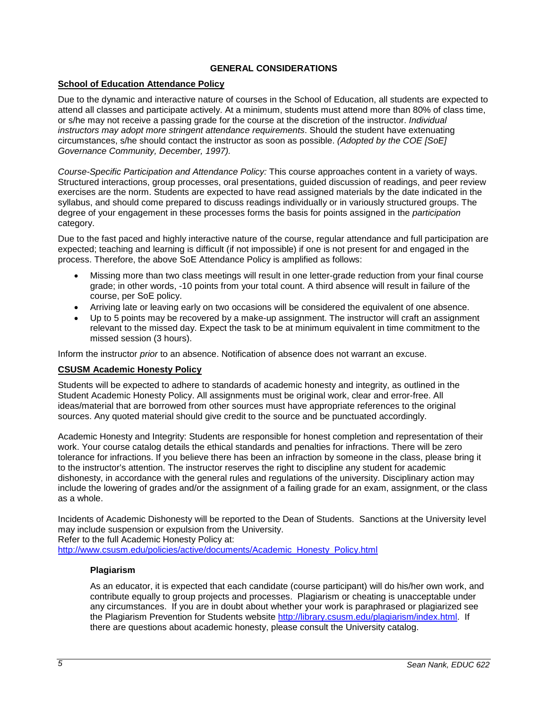## **GENERAL CONSIDERATIONS**

### <span id="page-4-1"></span><span id="page-4-0"></span>**School of Education Attendance Policy**

Due to the dynamic and interactive nature of courses in the School of Education, all students are expected to attend all classes and participate actively. At a minimum, students must attend more than 80% of class time, or s/he may not receive a passing grade for the course at the discretion of the instructor. *Individual instructors may adopt more stringent attendance requirements*. Should the student have extenuating circumstances, s/he should contact the instructor as soon as possible. *(Adopted by the COE [SoE] Governance Community, December, 1997).*

*Course-Specific Participation and Attendance Policy:* This course approaches content in a variety of ways. Structured interactions, group processes, oral presentations, guided discussion of readings, and peer review exercises are the norm. Students are expected to have read assigned materials by the date indicated in the syllabus, and should come prepared to discuss readings individually or in variously structured groups. The degree of your engagement in these processes forms the basis for points assigned in the *participation* category.

Due to the fast paced and highly interactive nature of the course, regular attendance and full participation are expected; teaching and learning is difficult (if not impossible) if one is not present for and engaged in the process. Therefore, the above SoE Attendance Policy is amplified as follows:

- Missing more than two class meetings will result in one letter-grade reduction from your final course grade; in other words, -10 points from your total count. A third absence will result in failure of the course, per SoE policy.
- Arriving late or leaving early on two occasions will be considered the equivalent of one absence.
- Up to 5 points may be recovered by a make-up assignment. The instructor will craft an assignment relevant to the missed day. Expect the task to be at minimum equivalent in time commitment to the missed session (3 hours).

Inform the instructor *prior* to an absence. Notification of absence does not warrant an excuse.

### <span id="page-4-2"></span>**CSUSM Academic Honesty Policy**

Students will be expected to adhere to standards of academic honesty and integrity, as outlined in the Student Academic Honesty Policy. All assignments must be original work, clear and error-free. All ideas/material that are borrowed from other sources must have appropriate references to the original sources. Any quoted material should give credit to the source and be punctuated accordingly.

Academic Honesty and Integrity: Students are responsible for honest completion and representation of their work. Your course catalog details the ethical standards and penalties for infractions. There will be zero tolerance for infractions. If you believe there has been an infraction by someone in the class, please bring it to the instructor's attention. The instructor reserves the right to discipline any student for academic dishonesty, in accordance with the general rules and regulations of the university. Disciplinary action may include the lowering of grades and/or the assignment of a failing grade for an exam, assignment, or the class as a whole.

Incidents of Academic Dishonesty will be reported to the Dean of Students. Sanctions at the University level may include suspension or expulsion from the University.

Refer to the full Academic Honesty Policy at:

<span id="page-4-3"></span>[http://www.csusm.edu/policies/active/documents/Academic\\_Honesty\\_Policy.html](http://www.csusm.edu/policies/active/documents/Academic_Honesty_Policy.html)

### **Plagiarism**

As an educator, it is expected that each candidate (course participant) will do his/her own work, and contribute equally to group projects and processes. Plagiarism or cheating is unacceptable under any circumstances. If you are in doubt about whether your work is paraphrased or plagiarized see the Plagiarism Prevention for Students website [http://library.csusm.edu/plagiarism/index.html.](http://library.csusm.edu/plagiarism/index.html) If there are questions about academic honesty, please consult the University catalog.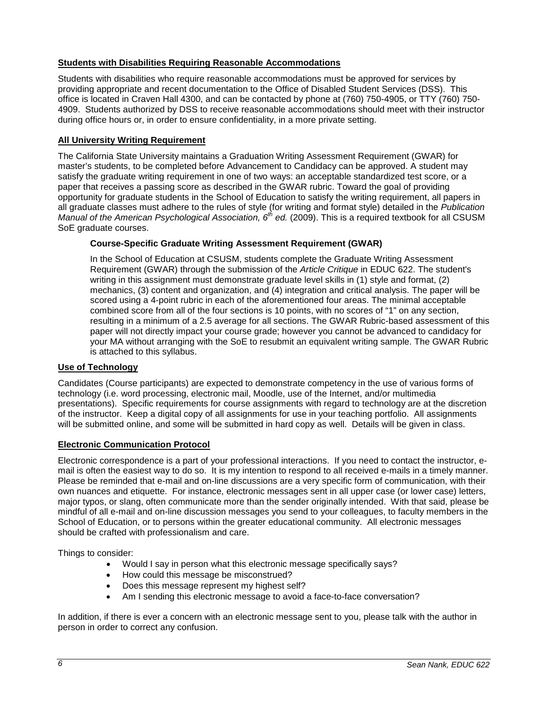### <span id="page-5-0"></span>**Students with Disabilities Requiring Reasonable Accommodations**

Students with disabilities who require reasonable accommodations must be approved for services by providing appropriate and recent documentation to the Office of Disabled Student Services (DSS). This office is located in Craven Hall 4300, and can be contacted by phone at (760) 750-4905, or TTY (760) 750- 4909. Students authorized by DSS to receive reasonable accommodations should meet with their instructor during office hours or, in order to ensure confidentiality, in a more private setting.

# <span id="page-5-1"></span>**All University Writing Requirement**

The California State University maintains a Graduation Writing Assessment Requirement (GWAR) for master's students, to be completed before Advancement to Candidacy can be approved. A student may satisfy the graduate writing requirement in one of two ways: an acceptable standardized test score, or a paper that receives a passing score as described in the GWAR rubric. Toward the goal of providing opportunity for graduate students in the School of Education to satisfy the writing requirement, all papers in all graduate classes must adhere to the rules of style (for writing and format style) detailed in the *Publication Manual of the American Psychological Association, 6th ed.* (2009). This is a required textbook for all CSUSM SoE graduate courses.

# <span id="page-5-2"></span>**Course-Specific Graduate Writing Assessment Requirement (GWAR)**

In the School of Education at CSUSM, students complete the Graduate Writing Assessment Requirement (GWAR) through the submission of the *Article Critique* in EDUC 622. The student's writing in this assignment must demonstrate graduate level skills in (1) style and format, (2) mechanics, (3) content and organization, and (4) integration and critical analysis. The paper will be scored using a 4-point rubric in each of the aforementioned four areas. The minimal acceptable combined score from all of the four sections is 10 points, with no scores of "1" on any section, resulting in a minimum of a 2.5 average for all sections. The GWAR Rubric-based assessment of this paper will not directly impact your course grade; however you cannot be advanced to candidacy for your MA without arranging with the SoE to resubmit an equivalent writing sample. The GWAR Rubric is attached to this syllabus.

### <span id="page-5-3"></span>**Use of Technology**

Candidates (Course participants) are expected to demonstrate competency in the use of various forms of technology (i.e. word processing, electronic mail, Moodle, use of the Internet, and/or multimedia presentations). Specific requirements for course assignments with regard to technology are at the discretion of the instructor. Keep a digital copy of all assignments for use in your teaching portfolio. All assignments will be submitted online, and some will be submitted in hard copy as well. Details will be given in class.

### <span id="page-5-4"></span>**Electronic Communication Protocol**

Electronic correspondence is a part of your professional interactions. If you need to contact the instructor, email is often the easiest way to do so. It is my intention to respond to all received e-mails in a timely manner. Please be reminded that e-mail and on-line discussions are a very specific form of communication, with their own nuances and etiquette. For instance, electronic messages sent in all upper case (or lower case) letters, major typos, or slang, often communicate more than the sender originally intended. With that said, please be mindful of all e-mail and on-line discussion messages you send to your colleagues, to faculty members in the School of Education, or to persons within the greater educational community. All electronic messages should be crafted with professionalism and care.

Things to consider:

- Would I say in person what this electronic message specifically says?
- How could this message be misconstrued?
- Does this message represent my highest self?
- Am I sending this electronic message to avoid a face-to-face conversation?

In addition, if there is ever a concern with an electronic message sent to you, please talk with the author in person in order to correct any confusion.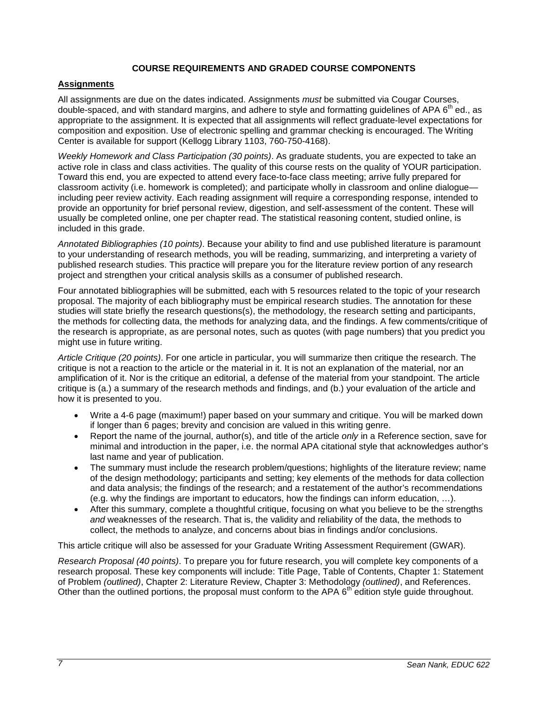### **COURSE REQUIREMENTS AND GRADED COURSE COMPONENTS**

### <span id="page-6-1"></span><span id="page-6-0"></span>**Assignments**

All assignments are due on the dates indicated. Assignments *must* be submitted via Cougar Courses, double-spaced, and with standard margins, and adhere to style and formatting guidelines of APA 6<sup>th</sup> ed., as appropriate to the assignment. It is expected that all assignments will reflect graduate-level expectations for composition and exposition. Use of electronic spelling and grammar checking is encouraged. The Writing Center is available for support (Kellogg Library 1103, 760-750-4168).

*Weekly Homework and Class Participation (30 points)*. As graduate students, you are expected to take an active role in class and class activities. The quality of this course rests on the quality of YOUR participation. Toward this end, you are expected to attend every face-to-face class meeting; arrive fully prepared for classroom activity (i.e. homework is completed); and participate wholly in classroom and online dialogue including peer review activity. Each reading assignment will require a corresponding response, intended to provide an opportunity for brief personal review, digestion, and self-assessment of the content. These will usually be completed online, one per chapter read. The statistical reasoning content, studied online, is included in this grade.

*Annotated Bibliographies (10 points)*. Because your ability to find and use published literature is paramount to your understanding of research methods, you will be reading, summarizing, and interpreting a variety of published research studies. This practice will prepare you for the literature review portion of any research project and strengthen your critical analysis skills as a consumer of published research.

Four annotated bibliographies will be submitted, each with 5 resources related to the topic of your research proposal. The majority of each bibliography must be empirical research studies. The annotation for these studies will state briefly the research questions(s), the methodology, the research setting and participants, the methods for collecting data, the methods for analyzing data, and the findings. A few comments/critique of the research is appropriate, as are personal notes, such as quotes (with page numbers) that you predict you might use in future writing.

*Article Critique (20 points)*. For one article in particular, you will summarize then critique the research. The critique is not a reaction to the article or the material in it. It is not an explanation of the material, nor an amplification of it. Nor is the critique an editorial, a defense of the material from your standpoint. The article critique is (a.) a summary of the research methods and findings, and (b.) your evaluation of the article and how it is presented to you.

- Write a 4-6 page (maximum!) paper based on your summary and critique. You will be marked down if longer than 6 pages; brevity and concision are valued in this writing genre.
- Report the name of the journal, author(s), and title of the article *only* in a Reference section, save for minimal and introduction in the paper, i.e. the normal APA citational style that acknowledges author's last name and year of publication.
- The summary must include the research problem/questions; highlights of the literature review; name of the design methodology; participants and setting; key elements of the methods for data collection and data analysis; the findings of the research; and a restatement of the author's recommendations (e.g. why the findings are important to educators, how the findings can inform education, …).
- After this summary, complete a thoughtful critique, focusing on what you believe to be the strengths *and* weaknesses of the research. That is, the validity and reliability of the data, the methods to collect, the methods to analyze, and concerns about bias in findings and/or conclusions.

This article critique will also be assessed for your Graduate Writing Assessment Requirement (GWAR).

*Research Proposal (40 points)*. To prepare you for future research, you will complete key components of a research proposal. These key components will include: Title Page, Table of Contents, Chapter 1: Statement of Problem *(outlined)*, Chapter 2: Literature Review, Chapter 3: Methodology *(outlined)*, and References. Other than the outlined portions, the proposal must conform to the APA 6<sup>th</sup> edition style quide throughout.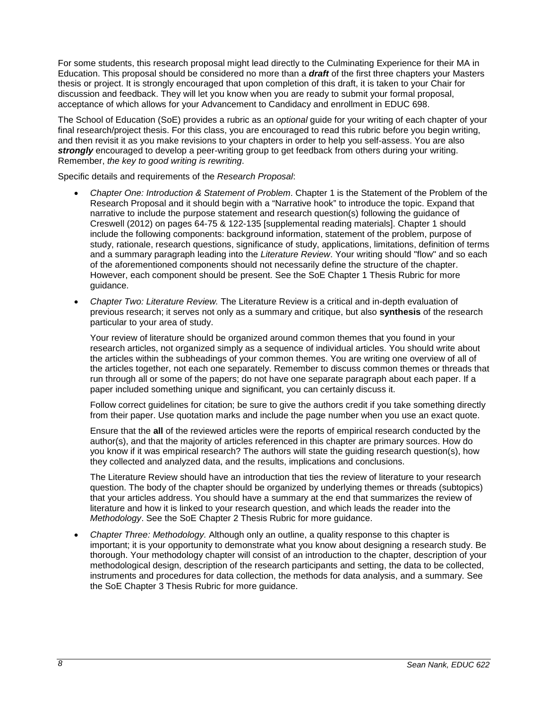For some students, this research proposal might lead directly to the Culminating Experience for their MA in Education. This proposal should be considered no more than a *draft* of the first three chapters your Masters thesis or project. It is strongly encouraged that upon completion of this draft, it is taken to your Chair for discussion and feedback. They will let you know when you are ready to submit your formal proposal, acceptance of which allows for your Advancement to Candidacy and enrollment in EDUC 698.

The School of Education (SoE) provides a rubric as an *optional* guide for your writing of each chapter of your final research/project thesis. For this class, you are encouraged to read this rubric before you begin writing, and then revisit it as you make revisions to your chapters in order to help you self-assess. You are also *strongly* encouraged to develop a peer-writing group to get feedback from others during your writing. Remember, *the key to good writing is rewriting*.

Specific details and requirements of the *Research Proposal*:

- *Chapter One: Introduction & Statement of Problem*. Chapter 1 is the Statement of the Problem of the Research Proposal and it should begin with a "Narrative hook" to introduce the topic. Expand that narrative to include the purpose statement and research question(s) following the guidance of Creswell (2012) on pages 64-75 & 122-135 [supplemental reading materials]. Chapter 1 should include the following components: background information, statement of the problem, purpose of study, rationale, research questions, significance of study, applications, limitations, definition of terms and a summary paragraph leading into the *Literature Review*. Your writing should "flow" and so each of the aforementioned components should not necessarily define the structure of the chapter. However, each component should be present. See the SoE Chapter 1 Thesis Rubric for more guidance.
- *Chapter Two: Literature Review.* The Literature Review is a critical and in-depth evaluation of previous research; it serves not only as a summary and critique, but also **synthesis** of the research particular to your area of study.

Your review of literature should be organized around common themes that you found in your research articles, not organized simply as a sequence of individual articles. You should write about the articles within the subheadings of your common themes. You are writing one overview of all of the articles together, not each one separately. Remember to discuss common themes or threads that run through all or some of the papers; do not have one separate paragraph about each paper. If a paper included something unique and significant, you can certainly discuss it.

Follow correct guidelines for citation; be sure to give the authors credit if you take something directly from their paper. Use quotation marks and include the page number when you use an exact quote.

Ensure that the **all** of the reviewed articles were the reports of empirical research conducted by the author(s), and that the majority of articles referenced in this chapter are primary sources. How do you know if it was empirical research? The authors will state the guiding research question(s), how they collected and analyzed data, and the results, implications and conclusions.

The Literature Review should have an introduction that ties the review of literature to your research question. The body of the chapter should be organized by underlying themes or threads (subtopics) that your articles address. You should have a summary at the end that summarizes the review of literature and how it is linked to your research question, and which leads the reader into the *Methodology*. See the SoE Chapter 2 Thesis Rubric for more guidance.

• *Chapter Three: Methodology.* Although only an outline, a quality response to this chapter is important; it is your opportunity to demonstrate what you know about designing a research study. Be thorough. Your methodology chapter will consist of an introduction to the chapter, description of your methodological design, description of the research participants and setting, the data to be collected, instruments and procedures for data collection, the methods for data analysis, and a summary. See the SoE Chapter 3 Thesis Rubric for more guidance.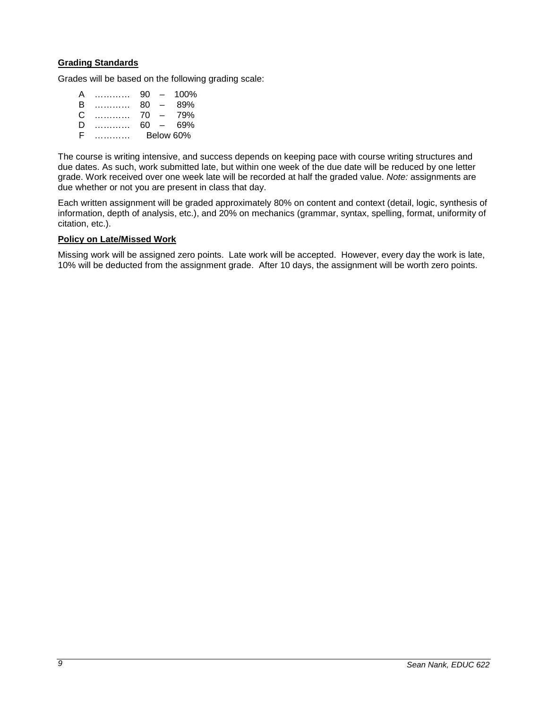### <span id="page-8-0"></span>**Grading Standards**

Grades will be based on the following grading scale:

| А | . | 90 | $\overline{\phantom{0}}$ | 100%      |
|---|---|----|--------------------------|-----------|
| в | . | 80 | $\overline{\phantom{0}}$ | 89%       |
| C | . | 70 | $\overline{\phantom{0}}$ | 79%       |
| D | . | 60 | $\overline{\phantom{0}}$ | 69%       |
| F |   |    |                          | Below 60% |

The course is writing intensive, and success depends on keeping pace with course writing structures and due dates. As such, work submitted late, but within one week of the due date will be reduced by one letter grade. Work received over one week late will be recorded at half the graded value. *Note:* assignments are due whether or not you are present in class that day.

Each written assignment will be graded approximately 80% on content and context (detail, logic, synthesis of information, depth of analysis, etc.), and 20% on mechanics (grammar, syntax, spelling, format, uniformity of citation, etc.).

#### <span id="page-8-1"></span>**Policy on Late/Missed Work**

Missing work will be assigned zero points. Late work will be accepted. However, every day the work is late, 10% will be deducted from the assignment grade. After 10 days, the assignment will be worth zero points.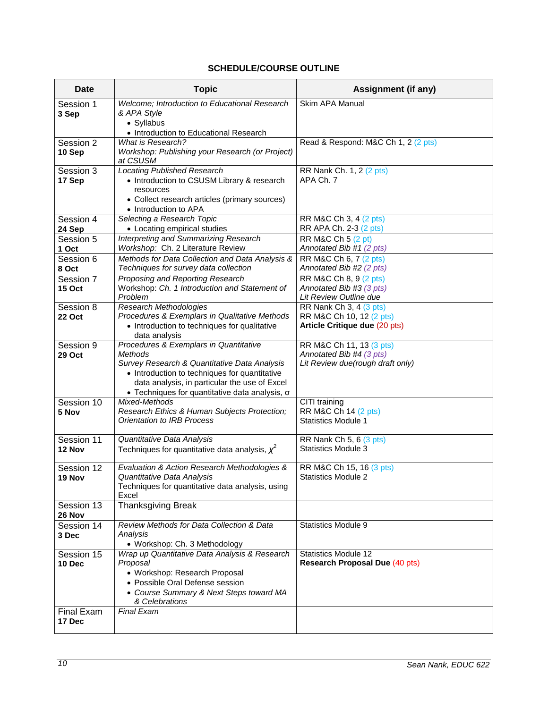# **SCHEDULE/COURSE OUTLINE**

<span id="page-9-0"></span>

| Date                 | <b>Topic</b>                                                                                   | <b>Assignment (if any)</b>                                |
|----------------------|------------------------------------------------------------------------------------------------|-----------------------------------------------------------|
| Session 1<br>3 Sep   | Welcome; Introduction to Educational Research<br>& APA Style                                   | Skim APA Manual                                           |
|                      | • Syllabus                                                                                     |                                                           |
|                      | • Introduction to Educational Research                                                         |                                                           |
| Session 2            | What is Research?                                                                              | Read & Respond: M&C Ch 1, 2 (2 pts)                       |
| 10 Sep               | Workshop: Publishing your Research (or Project)<br>at CSUSM                                    |                                                           |
| Session 3            | <b>Locating Published Research</b>                                                             | RR Nank Ch. 1, 2 (2 pts)                                  |
| 17 Sep               | • Introduction to CSUSM Library & research                                                     | APA Ch. 7                                                 |
|                      | resources<br>• Collect research articles (primary sources)                                     |                                                           |
|                      | • Introduction to APA                                                                          |                                                           |
| Session 4            | Selecting a Research Topic                                                                     | RR M&C Ch 3, 4 (2 pts)                                    |
| 24 Sep               | • Locating empirical studies                                                                   | RR APA Ch. 2-3 (2 pts)                                    |
| Session 5            | Interpreting and Summarizing Research                                                          | RR M&C Ch 5 (2 pt)                                        |
| 1 Oct                | Workshop: Ch. 2 Literature Review                                                              | Annotated Bib #1 (2 pts)                                  |
| Session 6<br>8 Oct   | Methods for Data Collection and Data Analysis &<br>Techniques for survey data collection       | RR M&C Ch 6, 7 (2 pts)<br>Annotated Bib #2 (2 pts)        |
| Session 7            | Proposing and Reporting Research                                                               | RR M&C Ch 8, 9 (2 pts)                                    |
| <b>15 Oct</b>        | Workshop: Ch. 1 Introduction and Statement of                                                  | Annotated Bib #3 (3 pts)                                  |
|                      | Problem                                                                                        | Lit Review Outline due                                    |
| Session 8            | Research Methodologies                                                                         | RR Nank Ch 3, 4 (3 pts)                                   |
| <b>22 Oct</b>        | Procedures & Exemplars in Qualitative Methods                                                  | RR M&C Ch 10, 12 (2 pts)<br>Article Critique due (20 pts) |
|                      | • Introduction to techniques for qualitative<br>data analysis                                  |                                                           |
| Session 9            | Procedures & Exemplars in Quantitative                                                         | RR M&C Ch 11, 13 (3 pts)                                  |
| <b>29 Oct</b>        | Methods                                                                                        | Annotated Bib #4 (3 pts)                                  |
|                      | Survey Research & Quantitative Data Analysis                                                   | Lit Review due(rough draft only)                          |
|                      | • Introduction to techniques for quantitative<br>data analysis, in particular the use of Excel |                                                           |
|                      | $\bullet$ Techniques for quantitative data analysis, $\sigma$                                  |                                                           |
| Session 10           | Mixed-Methods                                                                                  | CITI training                                             |
| 5 Nov                | Research Ethics & Human Subjects Protection;                                                   | RR M&C Ch 14 (2 pts)                                      |
|                      | Orientation to IRB Process                                                                     | <b>Statistics Module 1</b>                                |
| Session 11           | Quantitative Data Analysis                                                                     | RR Nank Ch 5, 6 (3 pts)                                   |
| 12 Nov               | Techniques for quantitative data analysis, $\chi^2$                                            | <b>Statistics Module 3</b>                                |
|                      |                                                                                                |                                                           |
| Session 12<br>19 Nov | Evaluation & Action Research Methodologies &<br>Quantitative Data Analysis                     | RR M&C Ch 15, 16 (3 pts)<br><b>Statistics Module 2</b>    |
|                      | Techniques for quantitative data analysis, using                                               |                                                           |
|                      | Excel                                                                                          |                                                           |
| Session 13<br>26 Nov | <b>Thanksgiving Break</b>                                                                      |                                                           |
| Session 14           | Review Methods for Data Collection & Data                                                      | <b>Statistics Module 9</b>                                |
| 3 Dec                | Analysis<br>· Workshop: Ch. 3 Methodology                                                      |                                                           |
| Session 15           | Wrap up Quantitative Data Analysis & Research                                                  | <b>Statistics Module 12</b>                               |
| 10 Dec               | Proposal                                                                                       | <b>Research Proposal Due (40 pts)</b>                     |
|                      | • Workshop: Research Proposal                                                                  |                                                           |
|                      | • Possible Oral Defense session                                                                |                                                           |
|                      | • Course Summary & Next Steps toward MA                                                        |                                                           |
| Final Exam           | & Celebrations<br><b>Final Exam</b>                                                            |                                                           |
| 17 Dec               |                                                                                                |                                                           |
|                      |                                                                                                |                                                           |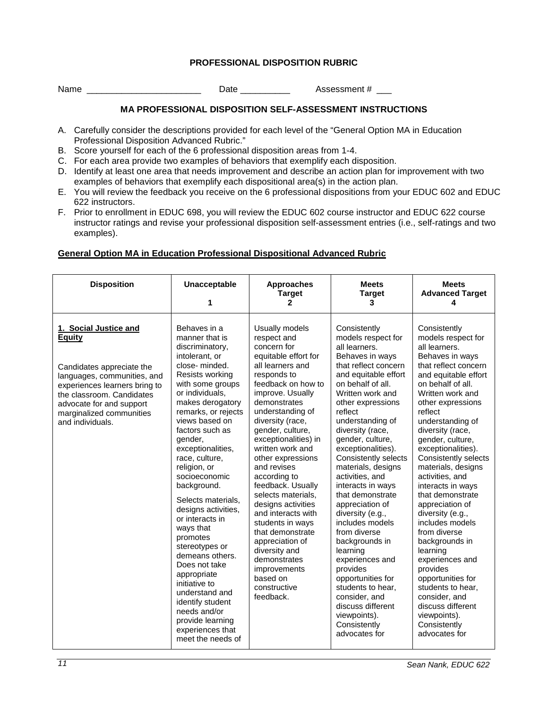### **PROFESSIONAL DISPOSITION RUBRIC**

<span id="page-10-0"></span>Name **Name Name Name Name Name Name Name Name Name Name Name N** 

### **MA PROFESSIONAL DISPOSITION SELF-ASSESSMENT INSTRUCTIONS**

- A. Carefully consider the descriptions provided for each level of the "General Option MA in Education Professional Disposition Advanced Rubric."
- B. Score yourself for each of the 6 professional disposition areas from 1-4.
- C. For each area provide two examples of behaviors that exemplify each disposition.
- D. Identify at least one area that needs improvement and describe an action plan for improvement with two examples of behaviors that exemplify each dispositional area(s) in the action plan.
- E. You will review the feedback you receive on the 6 professional dispositions from your EDUC 602 and EDUC 622 instructors.
- F. Prior to enrollment in EDUC 698, you will review the EDUC 602 course instructor and EDUC 622 course instructor ratings and revise your professional disposition self-assessment entries (i.e., self-ratings and two examples).

### <span id="page-10-1"></span>**General Option MA in Education Professional Dispositional Advanced Rubric**

| <b>Disposition</b>                                                                                                                                                                                                                    | <b>Unacceptable</b><br>1                                                                                                                                                                                                                                                                                                                                                                                                                                                                                                                                                                                                           | <b>Approaches</b><br><b>Target</b><br>$\mathbf{2}$                                                                                                                                                                                                                                                                                                                                                                                                                                                                                                                        | <b>Meets</b><br><b>Target</b><br>3                                                                                                                                                                                                                                                                                                                                                                                                                                                                                                                                                                                                                                  | <b>Meets</b><br><b>Advanced Target</b><br>4                                                                                                                                                                                                                                                                                                                                                                                                                                                                                                                                                                                                                                |
|---------------------------------------------------------------------------------------------------------------------------------------------------------------------------------------------------------------------------------------|------------------------------------------------------------------------------------------------------------------------------------------------------------------------------------------------------------------------------------------------------------------------------------------------------------------------------------------------------------------------------------------------------------------------------------------------------------------------------------------------------------------------------------------------------------------------------------------------------------------------------------|---------------------------------------------------------------------------------------------------------------------------------------------------------------------------------------------------------------------------------------------------------------------------------------------------------------------------------------------------------------------------------------------------------------------------------------------------------------------------------------------------------------------------------------------------------------------------|---------------------------------------------------------------------------------------------------------------------------------------------------------------------------------------------------------------------------------------------------------------------------------------------------------------------------------------------------------------------------------------------------------------------------------------------------------------------------------------------------------------------------------------------------------------------------------------------------------------------------------------------------------------------|----------------------------------------------------------------------------------------------------------------------------------------------------------------------------------------------------------------------------------------------------------------------------------------------------------------------------------------------------------------------------------------------------------------------------------------------------------------------------------------------------------------------------------------------------------------------------------------------------------------------------------------------------------------------------|
| 1. Social Justice and<br>Equity<br>Candidates appreciate the<br>languages, communities, and<br>experiences learners bring to<br>the classroom. Candidates<br>advocate for and support<br>marginalized communities<br>and individuals. | Behaves in a<br>manner that is<br>discriminatory,<br>intolerant, or<br>close-minded.<br>Resists working<br>with some groups<br>or individuals,<br>makes derogatory<br>remarks, or rejects<br>views based on<br>factors such as<br>gender,<br>exceptionalities,<br>race, culture,<br>religion, or<br>socioeconomic<br>background.<br>Selects materials,<br>designs activities,<br>or interacts in<br>ways that<br>promotes<br>stereotypes or<br>demeans others.<br>Does not take<br>appropriate<br>initiative to<br>understand and<br>identify student<br>needs and/or<br>provide learning<br>experiences that<br>meet the needs of | Usually models<br>respect and<br>concern for<br>equitable effort for<br>all learners and<br>responds to<br>feedback on how to<br>improve. Usually<br>demonstrates<br>understanding of<br>diversity (race,<br>gender, culture,<br>exceptionalities) in<br>written work and<br>other expressions<br>and revises<br>according to<br>feedback. Usually<br>selects materials,<br>designs activities<br>and interacts with<br>students in ways<br>that demonstrate<br>appreciation of<br>diversity and<br>demonstrates<br>improvements<br>based on<br>constructive<br>feedback. | Consistently<br>models respect for<br>all learners.<br>Behaves in ways<br>that reflect concern<br>and equitable effort<br>on behalf of all.<br>Written work and<br>other expressions<br>reflect<br>understanding of<br>diversity (race,<br>gender, culture,<br>exceptionalities).<br>Consistently selects<br>materials, designs<br>activities, and<br>interacts in ways<br>that demonstrate<br>appreciation of<br>diversity (e.g.,<br>includes models<br>from diverse<br>backgrounds in<br>learning<br>experiences and<br>provides<br>opportunities for<br>students to hear,<br>consider, and<br>discuss different<br>viewpoints).<br>Consistently<br>advocates for | Consistently<br>models respect for<br>all learners.<br>Behaves in ways<br>that reflect concern<br>and equitable effort<br>on behalf of all.<br>Written work and<br>other expressions<br>reflect<br>understanding of<br>diversity (race,<br>gender, culture,<br>exceptionalities).<br><b>Consistently selects</b><br>materials, designs<br>activities, and<br>interacts in ways<br>that demonstrate<br>appreciation of<br>diversity (e.g.,<br>includes models<br>from diverse<br>backgrounds in<br>learning<br>experiences and<br>provides<br>opportunities for<br>students to hear,<br>consider, and<br>discuss different<br>viewpoints).<br>Consistently<br>advocates for |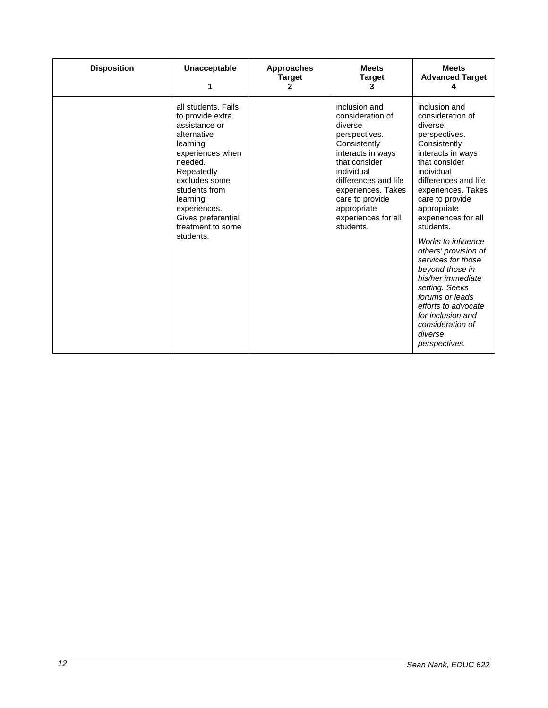| <b>Disposition</b> | <b>Unacceptable</b><br>1                                                                                                                                                                                                                               | <b>Approaches</b><br><b>Target</b><br>2 | <b>Meets</b><br><b>Target</b><br>з                                                                                                                                                                                                                    | <b>Meets</b><br><b>Advanced Target</b>                                                                                                                                                                                                                |
|--------------------|--------------------------------------------------------------------------------------------------------------------------------------------------------------------------------------------------------------------------------------------------------|-----------------------------------------|-------------------------------------------------------------------------------------------------------------------------------------------------------------------------------------------------------------------------------------------------------|-------------------------------------------------------------------------------------------------------------------------------------------------------------------------------------------------------------------------------------------------------|
|                    | all students. Fails<br>to provide extra<br>assistance or<br>alternative<br>learning<br>experiences when<br>needed.<br>Repeatedly<br>excludes some<br>students from<br>learning<br>experiences.<br>Gives preferential<br>treatment to some<br>students. |                                         | inclusion and<br>consideration of<br>diverse<br>perspectives.<br>Consistently<br>interacts in ways<br>that consider<br>individual<br>differences and life<br>experiences. Takes<br>care to provide<br>appropriate<br>experiences for all<br>students. | inclusion and<br>consideration of<br>diverse<br>perspectives.<br>Consistently<br>interacts in ways<br>that consider<br>individual<br>differences and life<br>experiences. Takes<br>care to provide<br>appropriate<br>experiences for all<br>students. |
|                    |                                                                                                                                                                                                                                                        |                                         |                                                                                                                                                                                                                                                       | Works to influence<br>others' provision of<br>services for those<br>beyond those in<br>his/her immediate<br>setting. Seeks<br>forums or leads<br>efforts to advocate<br>for inclusion and<br>consideration of<br>diverse<br>perspectives.             |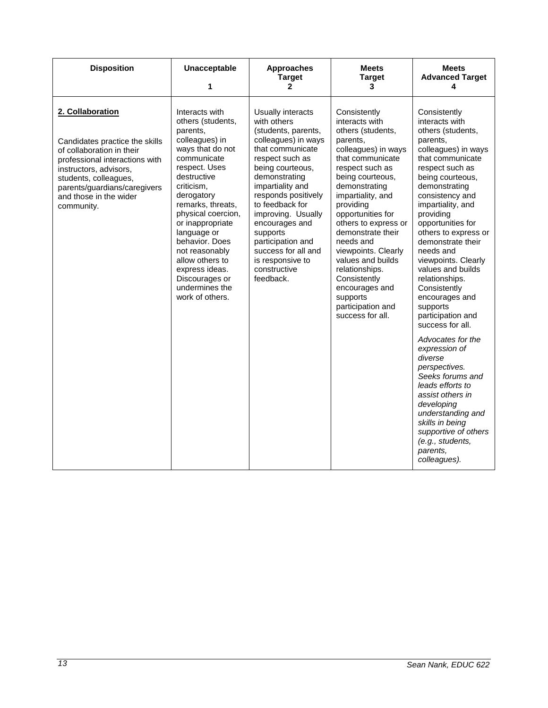| <b>Disposition</b>                                                                                                                                                                                                                           | <b>Unacceptable</b><br>1                                                                                                                                                                                                                                                                                                                                                       | <b>Approaches</b><br><b>Target</b><br>$\mathbf{2}$                                                                                                                                                                                                                                                                                                                        | <b>Meets</b><br><b>Target</b><br>3                                                                                                                                                                                                                                                                                                                                                                                                       | <b>Meets</b><br><b>Advanced Target</b><br>4                                                                                                                                                                                                                                                                                                                                                                                                                 |
|----------------------------------------------------------------------------------------------------------------------------------------------------------------------------------------------------------------------------------------------|--------------------------------------------------------------------------------------------------------------------------------------------------------------------------------------------------------------------------------------------------------------------------------------------------------------------------------------------------------------------------------|---------------------------------------------------------------------------------------------------------------------------------------------------------------------------------------------------------------------------------------------------------------------------------------------------------------------------------------------------------------------------|------------------------------------------------------------------------------------------------------------------------------------------------------------------------------------------------------------------------------------------------------------------------------------------------------------------------------------------------------------------------------------------------------------------------------------------|-------------------------------------------------------------------------------------------------------------------------------------------------------------------------------------------------------------------------------------------------------------------------------------------------------------------------------------------------------------------------------------------------------------------------------------------------------------|
| 2. Collaboration<br>Candidates practice the skills<br>of collaboration in their<br>professional interactions with<br>instructors, advisors,<br>students, colleagues,<br>parents/guardians/caregivers<br>and those in the wider<br>community. | Interacts with<br>others (students,<br>parents,<br>colleagues) in<br>ways that do not<br>communicate<br>respect. Uses<br>destructive<br>criticism,<br>derogatory<br>remarks, threats,<br>physical coercion,<br>or inappropriate<br>language or<br>behavior. Does<br>not reasonably<br>allow others to<br>express ideas.<br>Discourages or<br>undermines the<br>work of others. | Usually interacts<br>with others<br>(students, parents,<br>colleagues) in ways<br>that communicate<br>respect such as<br>being courteous,<br>demonstrating<br>impartiality and<br>responds positively<br>to feedback for<br>improving. Usually<br>encourages and<br>supports<br>participation and<br>success for all and<br>is responsive to<br>constructive<br>feedback. | Consistently<br>interacts with<br>others (students,<br>parents,<br>colleagues) in ways<br>that communicate<br>respect such as<br>being courteous,<br>demonstrating<br>impartiality, and<br>providing<br>opportunities for<br>others to express or<br>demonstrate their<br>needs and<br>viewpoints. Clearly<br>values and builds<br>relationships.<br>Consistently<br>encourages and<br>supports<br>participation and<br>success for all. | Consistently<br>interacts with<br>others (students,<br>parents,<br>colleagues) in ways<br>that communicate<br>respect such as<br>being courteous,<br>demonstrating<br>consistency and<br>impartiality, and<br>providing<br>opportunities for<br>others to express or<br>demonstrate their<br>needs and<br>viewpoints. Clearly<br>values and builds<br>relationships.<br>Consistently<br>encourages and<br>supports<br>participation and<br>success for all. |
|                                                                                                                                                                                                                                              |                                                                                                                                                                                                                                                                                                                                                                                |                                                                                                                                                                                                                                                                                                                                                                           |                                                                                                                                                                                                                                                                                                                                                                                                                                          | Advocates for the<br>expression of<br>diverse<br>perspectives.<br>Seeks forums and<br>leads efforts to<br>assist others in<br>developing<br>understanding and<br>skills in being<br>supportive of others<br>(e.g., students,<br>parents,<br>colleagues).                                                                                                                                                                                                    |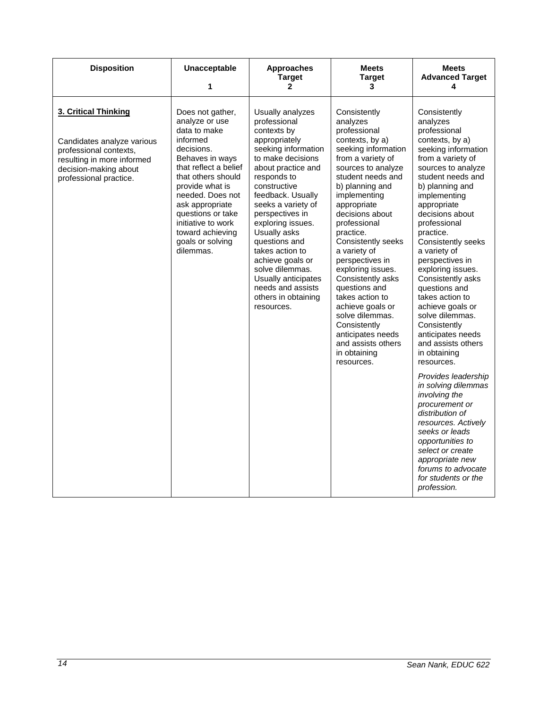| <b>Disposition</b>                                                                                                                                            | <b>Unacceptable</b><br>1                                                                                                                                                                                                                                                                                 | <b>Approaches</b><br><b>Target</b><br>$\mathbf{2}$                                                                                                                                                                                                                                                                                                                                                                               | <b>Meets</b><br><b>Target</b><br>3                                                                                                                                                                                                                                                                                                                                                                                                                                                                                          | <b>Meets</b><br><b>Advanced Target</b><br>4                                                                                                                                                                                                                                                                                                                                                                                                                                                                                                                                                                                                                                                                                                                                                     |
|---------------------------------------------------------------------------------------------------------------------------------------------------------------|----------------------------------------------------------------------------------------------------------------------------------------------------------------------------------------------------------------------------------------------------------------------------------------------------------|----------------------------------------------------------------------------------------------------------------------------------------------------------------------------------------------------------------------------------------------------------------------------------------------------------------------------------------------------------------------------------------------------------------------------------|-----------------------------------------------------------------------------------------------------------------------------------------------------------------------------------------------------------------------------------------------------------------------------------------------------------------------------------------------------------------------------------------------------------------------------------------------------------------------------------------------------------------------------|-------------------------------------------------------------------------------------------------------------------------------------------------------------------------------------------------------------------------------------------------------------------------------------------------------------------------------------------------------------------------------------------------------------------------------------------------------------------------------------------------------------------------------------------------------------------------------------------------------------------------------------------------------------------------------------------------------------------------------------------------------------------------------------------------|
| 3. Critical Thinking<br>Candidates analyze various<br>professional contexts,<br>resulting in more informed<br>decision-making about<br>professional practice. | Does not gather,<br>analyze or use<br>data to make<br>informed<br>decisions.<br>Behaves in ways<br>that reflect a belief<br>that others should<br>provide what is<br>needed. Does not<br>ask appropriate<br>questions or take<br>initiative to work<br>toward achieving<br>goals or solving<br>dilemmas. | Usually analyzes<br>professional<br>contexts by<br>appropriately<br>seeking information<br>to make decisions<br>about practice and<br>responds to<br>constructive<br>feedback. Usually<br>seeks a variety of<br>perspectives in<br>exploring issues.<br>Usually asks<br>questions and<br>takes action to<br>achieve goals or<br>solve dilemmas.<br>Usually anticipates<br>needs and assists<br>others in obtaining<br>resources. | Consistently<br>analyzes<br>professional<br>contexts, by a)<br>seeking information<br>from a variety of<br>sources to analyze<br>student needs and<br>b) planning and<br>implementing<br>appropriate<br>decisions about<br>professional<br>practice.<br>Consistently seeks<br>a variety of<br>perspectives in<br>exploring issues.<br>Consistently asks<br>questions and<br>takes action to<br>achieve goals or<br>solve dilemmas.<br>Consistently<br>anticipates needs<br>and assists others<br>in obtaining<br>resources. | Consistently<br>analyzes<br>professional<br>contexts, by a)<br>seeking information<br>from a variety of<br>sources to analyze<br>student needs and<br>b) planning and<br>implementing<br>appropriate<br>decisions about<br>professional<br>practice.<br>Consistently seeks<br>a variety of<br>perspectives in<br>exploring issues.<br>Consistently asks<br>questions and<br>takes action to<br>achieve goals or<br>solve dilemmas.<br>Consistently<br>anticipates needs<br>and assists others<br>in obtaining<br>resources.<br>Provides leadership<br>in solving dilemmas<br>involving the<br>procurement or<br>distribution of<br>resources. Actively<br>seeks or leads<br>opportunities to<br>select or create<br>appropriate new<br>forums to advocate<br>for students or the<br>profession. |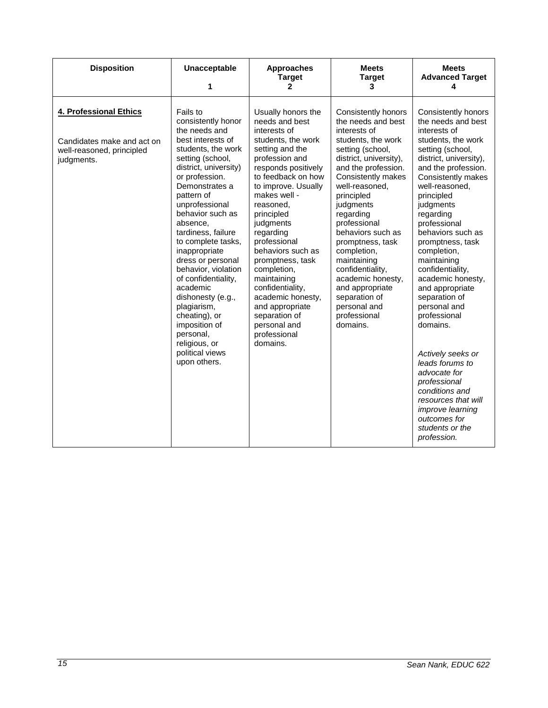| <b>Disposition</b>                                                                              | <b>Unacceptable</b><br>1                                                                                                                                                                                                                                                                                                                                                                                                                                                                                                       | <b>Approaches</b><br><b>Target</b><br>$\mathbf{2}$                                                                                                                                                                                                                                                                                                                                                                                                                       | <b>Meets</b><br><b>Target</b><br>3                                                                                                                                                                                                                                                                                                                                                                                                                          | <b>Meets</b><br><b>Advanced Target</b><br>4                                                                                                                                                                                                                                                                                                                                                                                                                                                                                                                                                                                                        |
|-------------------------------------------------------------------------------------------------|--------------------------------------------------------------------------------------------------------------------------------------------------------------------------------------------------------------------------------------------------------------------------------------------------------------------------------------------------------------------------------------------------------------------------------------------------------------------------------------------------------------------------------|--------------------------------------------------------------------------------------------------------------------------------------------------------------------------------------------------------------------------------------------------------------------------------------------------------------------------------------------------------------------------------------------------------------------------------------------------------------------------|-------------------------------------------------------------------------------------------------------------------------------------------------------------------------------------------------------------------------------------------------------------------------------------------------------------------------------------------------------------------------------------------------------------------------------------------------------------|----------------------------------------------------------------------------------------------------------------------------------------------------------------------------------------------------------------------------------------------------------------------------------------------------------------------------------------------------------------------------------------------------------------------------------------------------------------------------------------------------------------------------------------------------------------------------------------------------------------------------------------------------|
| 4. Professional Ethics<br>Candidates make and act on<br>well-reasoned, principled<br>judgments. | Fails to<br>consistently honor<br>the needs and<br>best interests of<br>students, the work<br>setting (school,<br>district, university)<br>or profession.<br>Demonstrates a<br>pattern of<br>unprofessional<br>behavior such as<br>absence,<br>tardiness, failure<br>to complete tasks,<br>inappropriate<br>dress or personal<br>behavior, violation<br>of confidentiality,<br>academic<br>dishonesty (e.g.,<br>plagiarism,<br>cheating), or<br>imposition of<br>personal,<br>religious, or<br>political views<br>upon others. | Usually honors the<br>needs and best<br>interests of<br>students, the work<br>setting and the<br>profession and<br>responds positively<br>to feedback on how<br>to improve. Usually<br>makes well -<br>reasoned.<br>principled<br>judgments<br>regarding<br>professional<br>behaviors such as<br>promptness, task<br>completion,<br>maintaining<br>confidentiality,<br>academic honesty,<br>and appropriate<br>separation of<br>personal and<br>professional<br>domains. | <b>Consistently honors</b><br>the needs and best<br>interests of<br>students, the work<br>setting (school,<br>district, university),<br>and the profession.<br>Consistently makes<br>well-reasoned,<br>principled<br>judgments<br>regarding<br>professional<br>behaviors such as<br>promptness, task<br>completion,<br>maintaining<br>confidentiality,<br>academic honesty,<br>and appropriate<br>separation of<br>personal and<br>professional<br>domains. | <b>Consistently honors</b><br>the needs and best<br>interests of<br>students, the work<br>setting (school,<br>district, university),<br>and the profession.<br>Consistently makes<br>well-reasoned,<br>principled<br>judgments<br>regarding<br>professional<br>behaviors such as<br>promptness, task<br>completion,<br>maintaining<br>confidentiality,<br>academic honesty,<br>and appropriate<br>separation of<br>personal and<br>professional<br>domains.<br>Actively seeks or<br>leads forums to<br>advocate for<br>professional<br>conditions and<br>resources that will<br>improve learning<br>outcomes for<br>students or the<br>profession. |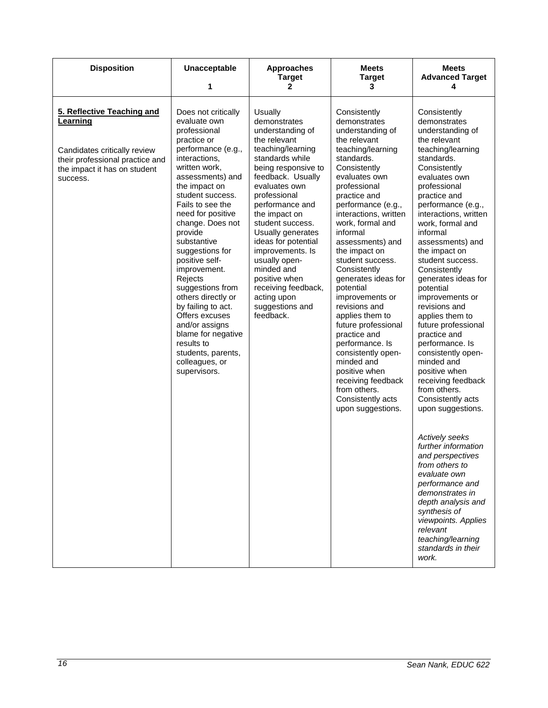| <b>Disposition</b>                                                                                                                                    | Unacceptable<br>1                                                                                                                                                                                                                                                                                                                                                                                                                                                                                                                          | <b>Approaches</b><br><b>Target</b><br>$\mathbf{2}$                                                                                                                                                                                                                                                                                                                                                                             | <b>Meets</b><br><b>Target</b><br>3                                                                                                                                                                                                                                                                                                                                                                                                                                                                                                                                                                                     | <b>Meets</b><br><b>Advanced Target</b><br>4                                                                                                                                                                                                                                                                                                                                                                                                                                                                                                                                                                                                                                         |
|-------------------------------------------------------------------------------------------------------------------------------------------------------|--------------------------------------------------------------------------------------------------------------------------------------------------------------------------------------------------------------------------------------------------------------------------------------------------------------------------------------------------------------------------------------------------------------------------------------------------------------------------------------------------------------------------------------------|--------------------------------------------------------------------------------------------------------------------------------------------------------------------------------------------------------------------------------------------------------------------------------------------------------------------------------------------------------------------------------------------------------------------------------|------------------------------------------------------------------------------------------------------------------------------------------------------------------------------------------------------------------------------------------------------------------------------------------------------------------------------------------------------------------------------------------------------------------------------------------------------------------------------------------------------------------------------------------------------------------------------------------------------------------------|-------------------------------------------------------------------------------------------------------------------------------------------------------------------------------------------------------------------------------------------------------------------------------------------------------------------------------------------------------------------------------------------------------------------------------------------------------------------------------------------------------------------------------------------------------------------------------------------------------------------------------------------------------------------------------------|
| 5. Reflective Teaching and<br>Learning<br>Candidates critically review<br>their professional practice and<br>the impact it has on student<br>success. | Does not critically<br>evaluate own<br>professional<br>practice or<br>performance (e.g.,<br>interactions,<br>written work,<br>assessments) and<br>the impact on<br>student success.<br>Fails to see the<br>need for positive<br>change. Does not<br>provide<br>substantive<br>suggestions for<br>positive self-<br>improvement.<br>Rejects<br>suggestions from<br>others directly or<br>by failing to act.<br>Offers excuses<br>and/or assigns<br>blame for negative<br>results to<br>students, parents,<br>colleagues, or<br>supervisors. | Usually<br>demonstrates<br>understanding of<br>the relevant<br>teaching/learning<br>standards while<br>being responsive to<br>feedback. Usually<br>evaluates own<br>professional<br>performance and<br>the impact on<br>student success.<br>Usually generates<br>ideas for potential<br>improvements. Is<br>usually open-<br>minded and<br>positive when<br>receiving feedback,<br>acting upon<br>suggestions and<br>feedback. | Consistently<br>demonstrates<br>understanding of<br>the relevant<br>teaching/learning<br>standards.<br>Consistently<br>evaluates own<br>professional<br>practice and<br>performance (e.g.,<br>interactions, written<br>work, formal and<br>informal<br>assessments) and<br>the impact on<br>student success.<br>Consistently<br>generates ideas for<br>potential<br>improvements or<br>revisions and<br>applies them to<br>future professional<br>practice and<br>performance. Is<br>consistently open-<br>minded and<br>positive when<br>receiving feedback<br>from others.<br>Consistently acts<br>upon suggestions. | Consistently<br>demonstrates<br>understanding of<br>the relevant<br>teaching/learning<br>standards.<br>Consistently<br>evaluates own<br>professional<br>practice and<br>performance (e.g.,<br>interactions, written<br>work, formal and<br>informal<br>assessments) and<br>the impact on<br>student success.<br>Consistently<br>generates ideas for<br>potential<br>improvements or<br>revisions and<br>applies them to<br>future professional<br>practice and<br>performance. Is<br>consistently open-<br>minded and<br>positive when<br>receiving feedback<br>from others.<br>Consistently acts<br>upon suggestions.<br>Actively seeks<br>further information<br>and perspectives |
|                                                                                                                                                       |                                                                                                                                                                                                                                                                                                                                                                                                                                                                                                                                            |                                                                                                                                                                                                                                                                                                                                                                                                                                |                                                                                                                                                                                                                                                                                                                                                                                                                                                                                                                                                                                                                        | from others to<br>evaluate own<br>performance and<br>demonstrates in<br>depth analysis and<br>synthesis of<br>viewpoints. Applies<br>relevant<br>teaching/learning<br>standards in their<br>work.                                                                                                                                                                                                                                                                                                                                                                                                                                                                                   |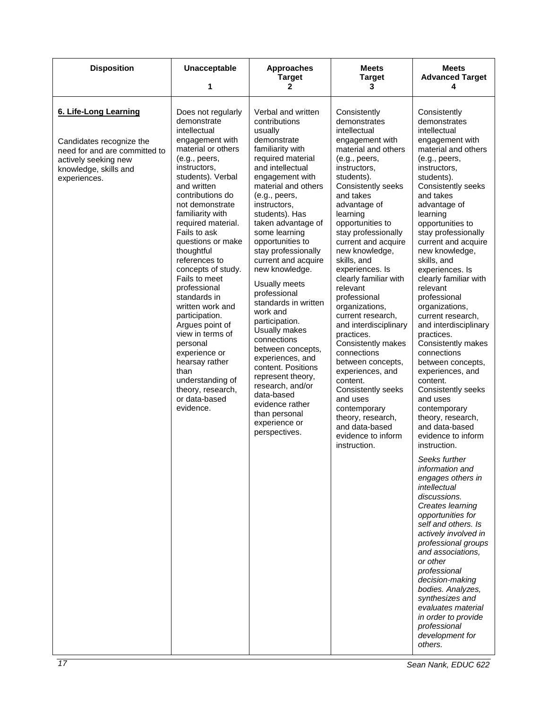| <b>Disposition</b>                                                                                                                                  | Unacceptable<br>1                                                                                                                                                                                                                                                                                                                                                                                                                                                                                                                                                                                      | <b>Approaches</b><br><b>Target</b><br>2                                                                                                                                                                                                                                                                                                                                                                                                                                                                                                                                                                                                                               | <b>Meets</b><br><b>Target</b><br>3                                                                                                                                                                                                                                                                                                                                                                                                                                                                                                                                                                                                                                                     | <b>Meets</b><br><b>Advanced Target</b><br>4                                                                                                                                                                                                                                                                                                                                                                                                                                                                                                                                                                                                                                                                                                                                                                                                                                                                                                                                                                                                                                                           |
|-----------------------------------------------------------------------------------------------------------------------------------------------------|--------------------------------------------------------------------------------------------------------------------------------------------------------------------------------------------------------------------------------------------------------------------------------------------------------------------------------------------------------------------------------------------------------------------------------------------------------------------------------------------------------------------------------------------------------------------------------------------------------|-----------------------------------------------------------------------------------------------------------------------------------------------------------------------------------------------------------------------------------------------------------------------------------------------------------------------------------------------------------------------------------------------------------------------------------------------------------------------------------------------------------------------------------------------------------------------------------------------------------------------------------------------------------------------|----------------------------------------------------------------------------------------------------------------------------------------------------------------------------------------------------------------------------------------------------------------------------------------------------------------------------------------------------------------------------------------------------------------------------------------------------------------------------------------------------------------------------------------------------------------------------------------------------------------------------------------------------------------------------------------|-------------------------------------------------------------------------------------------------------------------------------------------------------------------------------------------------------------------------------------------------------------------------------------------------------------------------------------------------------------------------------------------------------------------------------------------------------------------------------------------------------------------------------------------------------------------------------------------------------------------------------------------------------------------------------------------------------------------------------------------------------------------------------------------------------------------------------------------------------------------------------------------------------------------------------------------------------------------------------------------------------------------------------------------------------------------------------------------------------|
| 6. Life-Long Learning<br>Candidates recognize the<br>need for and are committed to<br>actively seeking new<br>knowledge, skills and<br>experiences. | Does not regularly<br>demonstrate<br>intellectual<br>engagement with<br>material or others<br>(e.g., peers,<br>instructors,<br>students). Verbal<br>and written<br>contributions do<br>not demonstrate<br>familiarity with<br>required material.<br>Fails to ask<br>questions or make<br>thoughtful<br>references to<br>concepts of study.<br>Fails to meet<br>professional<br>standards in<br>written work and<br>participation.<br>Argues point of<br>view in terms of<br>personal<br>experience or<br>hearsay rather<br>than<br>understanding of<br>theory, research,<br>or data-based<br>evidence. | Verbal and written<br>contributions<br>usually<br>demonstrate<br>familiarity with<br>required material<br>and intellectual<br>engagement with<br>material and others<br>(e.g., peers,<br>instructors,<br>students). Has<br>taken advantage of<br>some learning<br>opportunities to<br>stay professionally<br>current and acquire<br>new knowledge.<br>Usually meets<br>professional<br>standards in written<br>work and<br>participation.<br>Usually makes<br>connections<br>between concepts,<br>experiences, and<br>content. Positions<br>represent theory,<br>research, and/or<br>data-based<br>evidence rather<br>than personal<br>experience or<br>perspectives. | Consistently<br>demonstrates<br>intellectual<br>engagement with<br>material and others<br>(e.g., peers,<br>instructors,<br>students).<br>Consistently seeks<br>and takes<br>advantage of<br>learning<br>opportunities to<br>stay professionally<br>current and acquire<br>new knowledge,<br>skills, and<br>experiences. Is<br>clearly familiar with<br>relevant<br>professional<br>organizations,<br>current research,<br>and interdisciplinary<br>practices.<br>Consistently makes<br>connections<br>between concepts,<br>experiences, and<br>content.<br>Consistently seeks<br>and uses<br>contemporary<br>theory, research,<br>and data-based<br>evidence to inform<br>instruction. | Consistently<br>demonstrates<br>intellectual<br>engagement with<br>material and others<br>(e.g., peers,<br>instructors,<br>students).<br>Consistently seeks<br>and takes<br>advantage of<br>learning<br>opportunities to<br>stay professionally<br>current and acquire<br>new knowledge,<br>skills, and<br>experiences. Is<br>clearly familiar with<br>relevant<br>professional<br>organizations,<br>current research,<br>and interdisciplinary<br>practices.<br>Consistently makes<br>connections<br>between concepts,<br>experiences, and<br>content.<br>Consistently seeks<br>and uses<br>contemporary<br>theory, research,<br>and data-based<br>evidence to inform<br>instruction.<br>Seeks further<br>information and<br>engages others in<br>intellectual<br>discussions.<br>Creates learning<br>opportunities for<br>self and others. Is<br>actively involved in<br>professional groups<br>and associations,<br>or other<br>professional<br>decision-making<br>bodies. Analyzes,<br>synthesizes and<br>evaluates material<br>in order to provide<br>professional<br>development for<br>others. |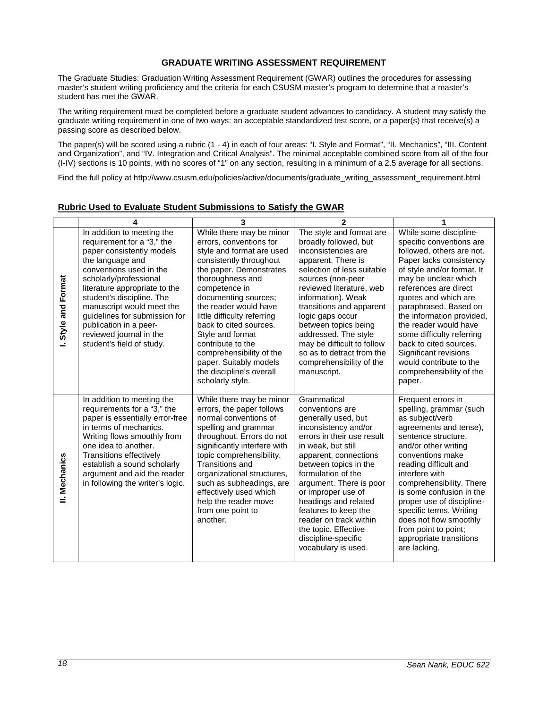#### **GRADUATE WRITING ASSESSMENT REQUIREMENT**

<span id="page-17-0"></span>The Graduate Studies: Graduation Writing Assessment Requirement (GWAR) outlines the procedures for assessing master's student writing proficiency and the criteria for each CSUSM master's program to determine that a master's student has met the GWAR.

The writing requirement must be completed before a graduate student advances to candidacy. A student may satisfy the graduate writing requirement in one of two ways: an acceptable standardized test score, or a paper(s) that receive(s) a passing score as described below.

The paper(s) will be scored using a rubric (1 - 4) in each of four areas: "I. Style and Format", "II. Mechanics", "III. Content and Organization", and "IV. Integration and Critical Analysis". The minimal acceptable combined score from all of the four (I-IV) sections is 10 points, with no scores of "1" on any section, resulting in a minimum of a 2.5 average for all sections.

Find the full policy at http://www.csusm.edu/policies/active/documents/graduate\_writing\_assessment\_requirement.html

|                     | 4                                                                                                                                                                                                                                                                                                                                                                            | 3                                                                                                                                                                                                                                                                                                                                                                                                                                    | $\mathbf{2}$                                                                                                                                                                                                                                                                                                                                                                                               |                                                                                                                                                                                                                                                                                                                                                                                                                                                   |
|---------------------|------------------------------------------------------------------------------------------------------------------------------------------------------------------------------------------------------------------------------------------------------------------------------------------------------------------------------------------------------------------------------|--------------------------------------------------------------------------------------------------------------------------------------------------------------------------------------------------------------------------------------------------------------------------------------------------------------------------------------------------------------------------------------------------------------------------------------|------------------------------------------------------------------------------------------------------------------------------------------------------------------------------------------------------------------------------------------------------------------------------------------------------------------------------------------------------------------------------------------------------------|---------------------------------------------------------------------------------------------------------------------------------------------------------------------------------------------------------------------------------------------------------------------------------------------------------------------------------------------------------------------------------------------------------------------------------------------------|
| Format<br>Style and | In addition to meeting the<br>requirement for a "3," the<br>paper consistently models<br>the language and<br>conventions used in the<br>scholarly/professional<br>literature appropriate to the<br>student's discipline. The<br>manuscript would meet the<br>guidelines for submission for<br>publication in a peer-<br>reviewed journal in the<br>student's field of study. | While there may be minor<br>errors, conventions for<br>style and format are used<br>consistently throughout<br>the paper. Demonstrates<br>thoroughness and<br>competence in<br>documenting sources;<br>the reader would have<br>little difficulty referring<br>back to cited sources.<br>Style and format<br>contribute to the<br>comprehensibility of the<br>paper. Suitably models<br>the discipline's overall<br>scholarly style. | The style and format are<br>broadly followed, but<br>inconsistencies are<br>apparent. There is<br>selection of less suitable<br>sources (non-peer<br>reviewed literature, web<br>information). Weak<br>transitions and apparent<br>logic gaps occur<br>between topics being<br>addressed. The style<br>may be difficult to follow<br>so as to detract from the<br>comprehensibility of the<br>manuscript.  | While some discipline-<br>specific conventions are<br>followed, others are not.<br>Paper lacks consistency<br>of style and/or format. It<br>may be unclear which<br>references are direct<br>quotes and which are<br>paraphrased. Based on<br>the information provided,<br>the reader would have<br>some difficulty referring<br>back to cited sources.<br>Significant revisions<br>would contribute to the<br>comprehensibility of the<br>paper. |
| II. Mechanics       | In addition to meeting the<br>requirements for a "3," the<br>paper is essentially error-free<br>in terms of mechanics.<br>Writing flows smoothly from<br>one idea to another.<br><b>Transitions effectively</b><br>establish a sound scholarly<br>argument and aid the reader<br>in following the writer's logic.                                                            | While there may be minor<br>errors, the paper follows<br>normal conventions of<br>spelling and grammar<br>throughout. Errors do not<br>significantly interfere with<br>topic comprehensibility.<br>Transitions and<br>organizational structures,<br>such as subheadings, are<br>effectively used which<br>help the reader move<br>from one point to<br>another.                                                                      | Grammatical<br>conventions are<br>generally used, but<br>inconsistency and/or<br>errors in their use result<br>in weak, but still<br>apparent, connections<br>between topics in the<br>formulation of the<br>argument. There is poor<br>or improper use of<br>headings and related<br>features to keep the<br>reader on track within<br>the topic. Effective<br>discipline-specific<br>vocabulary is used. | Frequent errors in<br>spelling, grammar (such<br>as subject/verb<br>agreements and tense),<br>sentence structure,<br>and/or other writing<br>conventions make<br>reading difficult and<br>interfere with<br>comprehensibility. There<br>is some confusion in the<br>proper use of discipline-<br>specific terms. Writing<br>does not flow smoothly<br>from point to point;<br>appropriate transitions<br>are lacking.                             |

# <span id="page-17-1"></span>**Rubric Used to Evaluate Student Submissions to Satisfy the GWAR**